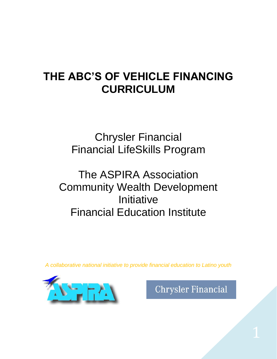## **THE ABC'S OF VEHICLE FINANCING CURRICULUM**

Chrysler Financial Financial LifeSkills Program

## The ASPIRA Association Community Wealth Development **Initiative** Financial Education Institute

*A collaborative national initiative to provide financial education to Latino youth*



**Chrysler Financial**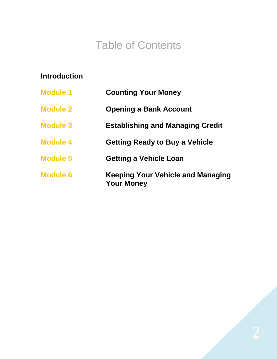# Table of Contents

| <b>Introduction</b> |                                                        |
|---------------------|--------------------------------------------------------|
| <b>Module 1</b>     | <b>Counting Your Money</b>                             |
| <b>Module 2</b>     | <b>Opening a Bank Account</b>                          |
| <b>Module 3</b>     | <b>Establishing and Managing Credit</b>                |
| <b>Module 4</b>     | <b>Getting Ready to Buy a Vehicle</b>                  |
| <b>Module 5</b>     | <b>Getting a Vehicle Loan</b>                          |
| <b>Module 6</b>     | Keeping Your Vehicle and Managing<br><b>Your Money</b> |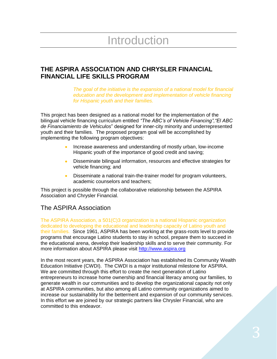# Introduction

#### **THE ASPIRA ASSOCIATION AND CHRYSLER FINANCIAL FINANCIAL LIFE SKILLS PROGRAM**

*The goal of the initiative is the expansion of a national model for financial education and the development and implementation of vehicle financing for Hispanic youth and their families.*

This project has been designed as a national model for the implementation of the bilingual vehicle financing curriculum entitled *"The ABC's of Vehicle Financing","El ABC de Financiamiento de Vehiculos*" designed for inner-city minority and underrepresented youth and their families. The proposed program goal will be accomplished by implementing the following program objectives:

- Increase awareness and understanding of mostly urban, low-income Hispanic youth of the importance of good credit and saving;
- Disseminate bilingual information, resources and effective strategies for  $\bullet$ vehicle financing; and
- Disseminate a national train-the-trainer model for program volunteers,  $\bullet$ academic counselors and teachers;

This project is possible through the collaborative relationship between the ASPIRA Association and Chrysler Financial.

#### The ASPIRA Association

The ASPIRA Association, a 501(C)3 organization is a national Hispanic organization dedicated to developing the educational and leadership capacity of Latino youth and their families. Since 1961, ASPIRA has been working at the grass-roots level to provide programs that encourage Latino students to stay in school, prepare them to succeed in the educational arena, develop their leadership skills and to serve their community. For more information about ASPIRA please visit [http://www.aspira.org](http://www.aspira.org/)

In the most recent years, the ASPIRA Association has established its Community Wealth Education Initiative (CWDI). The CWDI is a major institutional milestone for ASPIRA. We are committed through this effort to create the next generation of Latino entrepreneurs to increase home ownership and financial literacy among our families, to generate wealth in our communities and to develop the organizational capacity not only at ASPIRA communities, but also among all Latino community organizations aimed to increase our sustainability for the betterment and expansion of our community services. In this effort we are joined by our strategic partners like Chrysler Financial, who are committed to this endeavor.